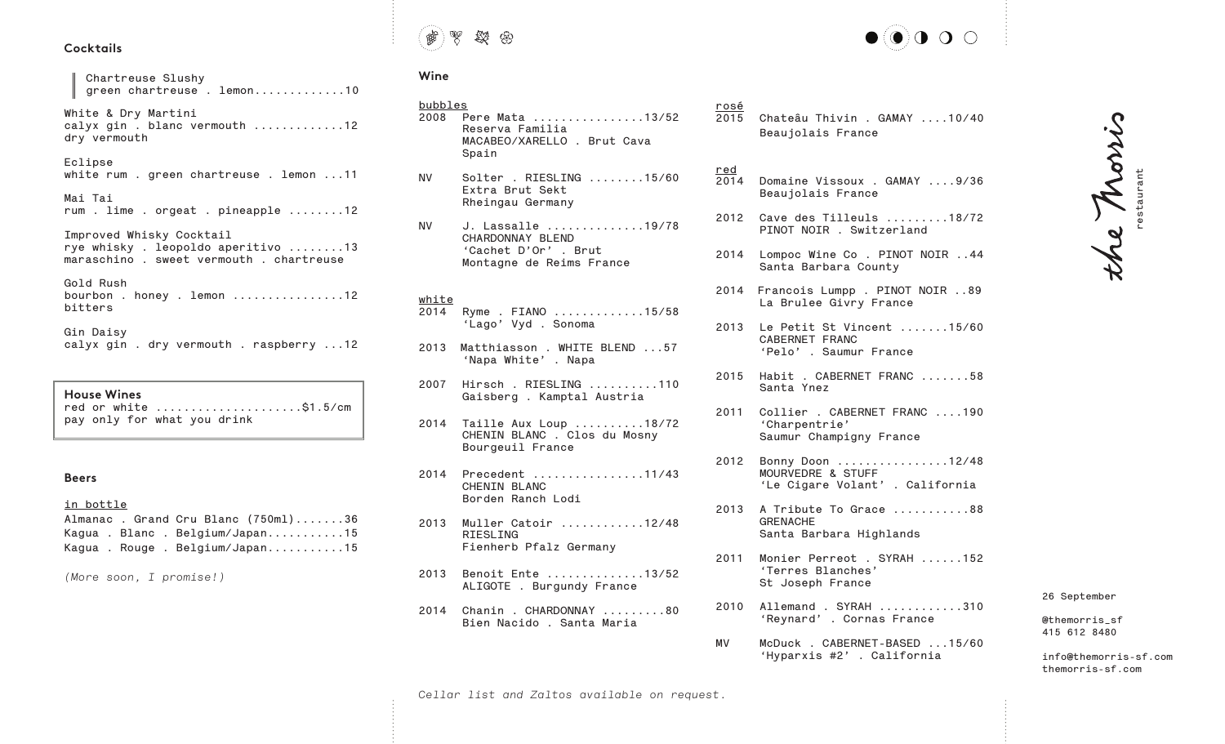## **Cocktails**

**Chartreuse Slushy green chartreuse . lemon.............10 White & Dry Martini calyx gin . blanc vermouth .............12 dry vermouth Eclipse white rum . green chartreuse . lemon ...11 Mai Tai rum . lime . orgeat . pineapple ........12 Improved Whisky Cocktail rye whisky . leopoldo aperitivo ........13 maraschino . sweet vermouth . chartreuse Gold Rush bourbon . honey . lemon ................12 bitters Gin Daisy calyx gin . dry vermouth . raspberry ...12** 

**House Wines red or white .....................\$1.5/cm pay only for what you drink**

#### **Beers**

#### **in bottle**

|  | Almanac. Grand Cru Blanc (750ml)36 |
|--|------------------------------------|
|  | Kagua . Blanc . Belgium/Japan15    |
|  | Kagua . Rouge . Belgium/Japan15    |

*(More soon, I promise!)*



# **Wine**

# **bubbles 2008 Pere Mata ................13/52 Reserva Familia MACABEO/XARELLO . Brut Cava Spain**

- **NV Solter . RIESLING ........15/60 Extra Brut Sekt Rheingau Germany**
- **NV J. Lassalle ..............19/78 CHARDONNAY BLEND 'Cachet D'Or' . Brut Montagne de Reims France**

## **white**

- **2014 Ryme . FIANO .............15/58 'Lago' Vyd . Sonoma**
- **2013 Matthiasson . WHITE BLEND ...57 'Napa White' . Napa**
- **2007 Hirsch . RIESLING ..........110 Gaisberg . Kamptal Austria**
- **2014 Taille Aux Loup ..........18/72 CHENIN BLANC . Clos du Mosny Bourgeuil France**
- **2014 Precedent ................11/43 CHENIN BLANC Borden Ranch Lodi**
- **2013 Muller Catoir ............12/48 RIESLING Fienherb Pfalz Germany**
- **2013 Benoit Ente ..............13/52 ALIGOTE . Burgundy France**
- **2014 Chanin . CHARDONNAY .........80 Bien Nacido . Santa Maria**
- **rosé**
- **2015 Chateâu Thivin . GAMAY ....10/40 Beaujolais France**

#### **red**

- **2014 Domaine Vissoux . GAMAY ....9/36 Beaujolais France**
- **2012 Cave des Tilleuls .........18/72 PINOT NOIR . Switzerland**
- **2014 Lompoc Wine Co . PINOT NOIR ..44 Santa Barbara County**
- **2014 Francois Lumpp . PINOT NOIR ..89 La Brulee Givry France**
- **2013 Le Petit St Vincent .......15/60 CABERNET FRANC 'Pelo' . Saumur France**
- **2015 Habit . CABERNET FRANC .......58 Santa Ynez**
- **2011 Collier . CABERNET FRANC ....190 'Charpentrie' Saumur Champigny France**
- **2012 Bonny Doon ................12/48 MOURVEDRE & STUFF 'Le Cigare Volant' . California**
- **2013 A Tribute To Grace ...........88 GRENACHE Santa Barbara Highlands**
- **2011 Monier Perreot . SYRAH ......152 'Terres Blanches' St Joseph France**
- **2010 Allemand . SYRAH ............310 'Reynard' . Cornas France**
- **MV McDuck . CABERNET-BASED ...15/60 'Hyparxis #2' . California**

**26 September**

**@themorris\_sf 415 612 8480**

**info@themorris-sf.com themorris-sf.com**

**restaurant**

the Thorris

*Cellar list and Zaltos available on request.*